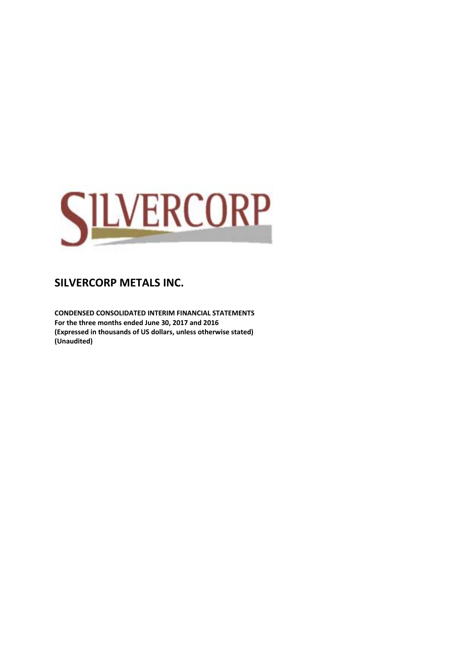

**CONDENSED CONSOLIDATED INTERIM FINANCIAL STATEMENTS For the three months ended June 30, 2017 and 2016 (Expressed in thousands of US dollars, unless otherwise stated) (Unaudited)**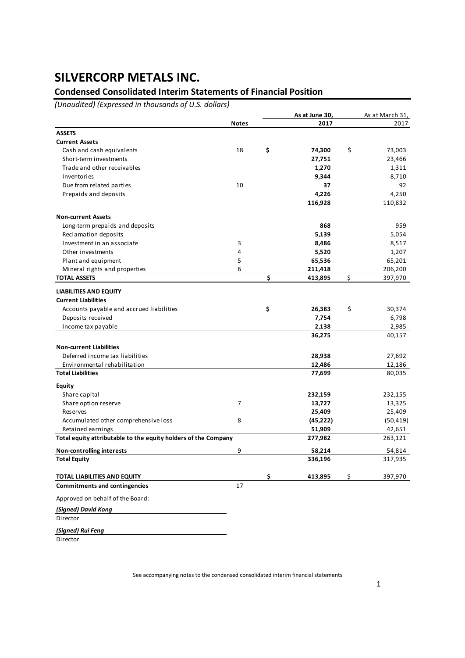### **Condensed Consolidated Interim Statements of Financial Position**

*(Unaudited) (Expressed in thousands of U.S. dollars)*

|                                                                      |                | As at June 30, | As at March 31, |
|----------------------------------------------------------------------|----------------|----------------|-----------------|
|                                                                      | <b>Notes</b>   | 2017           | 2017            |
| <b>ASSETS</b>                                                        |                |                |                 |
| <b>Current Assets</b>                                                |                |                |                 |
| Cash and cash equivalents                                            | 18             | \$<br>74,300   | \$<br>73,003    |
| Short-term investments                                               |                | 27,751         | 23,466          |
| Trade and other receivables                                          |                | 1,270          | 1,311           |
| Inventories                                                          |                | 9,344          | 8,710           |
| Due from related parties                                             | 10             | 37             | 92              |
| Prepaids and deposits                                                |                | 4,226          | 4,250           |
|                                                                      |                | 116,928        | 110,832         |
| <b>Non-current Assets</b>                                            |                |                |                 |
| Long-term prepaids and deposits                                      |                | 868            | 959             |
| Reclamation deposits                                                 |                | 5,139          | 5,054           |
| Investment in an associate                                           | 3              | 8,486          | 8,517           |
| Other investments                                                    | 4              | 5,520          | 1,207           |
| Plant and equipment                                                  | 5              | 65,536         | 65,201          |
| Mineral rights and properties                                        | 6              | 211,418        | 206,200         |
| <b>TOTAL ASSETS</b>                                                  |                | \$<br>413,895  | \$<br>397,970   |
| <b>LIABILITIES AND EQUITY</b>                                        |                |                |                 |
| <b>Current Liabilities</b>                                           |                |                |                 |
| Accounts payable and accrued liabilities                             |                | \$<br>26,383   | \$<br>30,374    |
| Deposits received                                                    |                | 7,754          | 6,798           |
| Income tax payable                                                   |                | 2,138          | 2,985           |
|                                                                      |                | 36,275         | 40,157          |
| <b>Non-current Liabilities</b>                                       |                |                |                 |
| Deferred income tax liabilities                                      |                | 28,938         | 27,692          |
| Environmental rehabilitation                                         |                | 12,486         | 12,186          |
| <b>Total Liabilities</b>                                             |                | 77,699         | 80,035          |
| <b>Equity</b>                                                        |                |                |                 |
| Share capital                                                        |                | 232,159        | 232,155         |
| Share option reserve                                                 | $\overline{7}$ | 13,727         | 13,325          |
| Reserves                                                             |                | 25,409         | 25,409          |
| Accumulated other comprehensive loss                                 | 8              | (45, 222)      | (50, 419)       |
| Retained earnings                                                    |                | 51,909         | 42,651          |
| Total equity attributable to the equity holders of the Company       |                | 277,982        | 263,121         |
| <b>Non-controlling interests</b>                                     | 9              | 58,214         | 54,814          |
| <b>Total Equity</b>                                                  |                | 336,196        | 317,935         |
|                                                                      |                | \$             | \$              |
| TOTAL LIABILITIES AND EQUITY<br><b>Commitments and contingencies</b> | 17             | 413,895        | 397,970         |
| Approved on behalf of the Board:                                     |                |                |                 |
|                                                                      |                |                |                 |

*(Signed) David Kong*

**Director** 

*(Signed) Rui Feng*

Director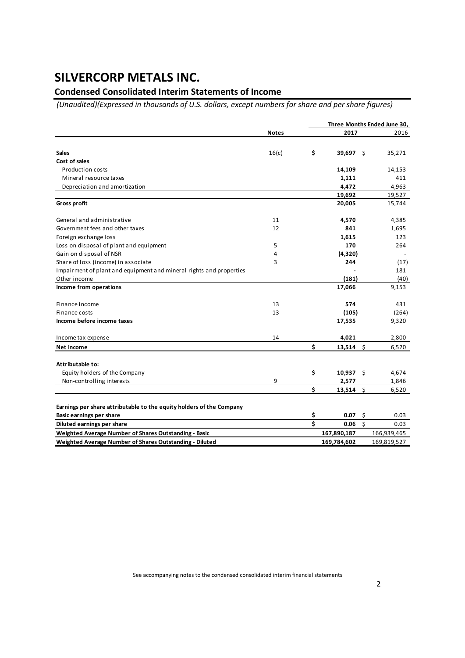### **Condensed Consolidated Interim Statements of Income**

*(Unaudited)(Expressed in thousands of U.S. dollars, except numbers for share and per share figures)*

|                                                                      |              |    |             |         | Three Months Ended June 30, |
|----------------------------------------------------------------------|--------------|----|-------------|---------|-----------------------------|
|                                                                      | <b>Notes</b> |    | 2017        |         | 2016                        |
|                                                                      |              |    |             |         |                             |
| <b>Sales</b>                                                         | 16(c)        | \$ | 39,697      | - \$    | 35,271                      |
| Cost of sales                                                        |              |    |             |         |                             |
| <b>Production costs</b>                                              |              |    | 14,109      |         | 14,153                      |
| Mineral resource taxes                                               |              |    | 1,111       |         | 411                         |
| Depreciation and amortization                                        |              |    | 4,472       |         | 4,963                       |
|                                                                      |              |    | 19,692      |         | 19,527                      |
| <b>Gross profit</b>                                                  |              |    | 20,005      |         | 15,744                      |
| General and administrative                                           | 11           |    | 4,570       |         | 4,385                       |
| Government fees and other taxes                                      | 12           |    | 841         |         | 1,695                       |
| Foreign exchange loss                                                |              |    | 1,615       |         | 123                         |
| Loss on disposal of plant and equipment                              | 5            |    | 170         |         | 264                         |
| Gain on disposal of NSR                                              | 4            |    | (4,320)     |         |                             |
| Share of loss (income) in associate                                  | 3            |    | 244         |         | (17)                        |
| Impairment of plant and equipment and mineral rights and properties  |              |    |             |         | 181                         |
| Other income                                                         |              |    | (181)       |         | (40)                        |
| Income from operations                                               |              |    | 17,066      |         | 9,153                       |
| Finance income                                                       | 13           |    | 574         |         | 431                         |
| Finance costs                                                        | 13           |    | (105)       |         | (264)                       |
| Income before income taxes                                           |              |    | 17,535      |         | 9,320                       |
| Income tax expense                                                   | 14           |    | 4,021       |         | 2,800                       |
| Net income                                                           |              | \$ | $13,514$ \$ |         | 6,520                       |
| Attributable to:                                                     |              |    |             |         |                             |
| Equity holders of the Company                                        |              | \$ | $10,937$ \$ |         | 4,674                       |
| Non-controlling interests                                            | 9            |    | 2,577       |         | 1,846                       |
|                                                                      |              | Ś  | 13,514      | Ŝ.      | 6,520                       |
| Earnings per share attributable to the equity holders of the Company |              |    |             |         |                             |
| <b>Basic earnings per share</b>                                      |              | \$ | 0.07        | \$      | 0.03                        |
| Diluted earnings per share                                           |              | Ś  | 0.06        | $\zeta$ | 0.03                        |
| Weighted Average Number of Shares Outstanding - Basic                |              |    | 167,890,187 |         | 166,939,465                 |
| Weighted Average Number of Shares Outstanding - Diluted              |              |    | 169,784,602 |         | 169,819,527                 |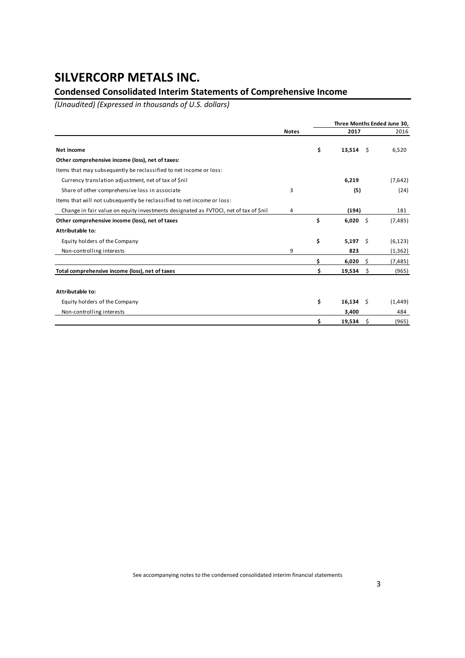### **Condensed Consolidated Interim Statements of Comprehensive Income**

*(Unaudited) (Expressed in thousands of U.S. dollars)*

|                                                                                      |              |    |             | Three Months Ended June 30, |          |  |
|--------------------------------------------------------------------------------------|--------------|----|-------------|-----------------------------|----------|--|
|                                                                                      | <b>Notes</b> |    | 2017        |                             | 2016     |  |
| <b>Net income</b>                                                                    |              | \$ | $13,514$ \$ |                             | 6,520    |  |
| Other comprehensive income (loss), net of taxes:                                     |              |    |             |                             |          |  |
| Items that may subsequently be reclassified to net income or loss:                   |              |    |             |                             |          |  |
| Currency translation adjustment, net of tax of \$nil                                 |              |    | 6,219       |                             | (7,642)  |  |
| Share of other comprehensive loss in associate                                       | 3            |    | (5)         |                             | (24)     |  |
| Items that will not subsequently be reclassified to net income or loss:              |              |    |             |                             |          |  |
| Change in fair value on equity investments designated as FVTOCI, net of tax of \$nil | 4            |    | (194)       |                             | 181      |  |
| Other comprehensive income (loss), net of taxes                                      |              | \$ | $6,020$ \$  |                             | (7, 485) |  |
| Attributable to:                                                                     |              |    |             |                             |          |  |
| Equity holders of the Company                                                        |              | \$ | $5,197$ \$  |                             | (6, 123) |  |
| Non-controlling interests                                                            | 9            |    | 823         |                             | (1, 362) |  |
|                                                                                      |              | Ś  | 6,020       | - \$                        | (7, 485) |  |
| Total comprehensive income (loss), net of taxes                                      |              | \$ | $19,534$ \$ |                             | (965)    |  |
| Attributable to:                                                                     |              |    |             |                             |          |  |
| Equity holders of the Company                                                        |              | \$ | $16,134$ \$ |                             | (1, 449) |  |
| Non-controlling interests                                                            |              |    | 3,400       |                             | 484      |  |
|                                                                                      |              | \$ | 19,534      | Ŝ.                          | (965)    |  |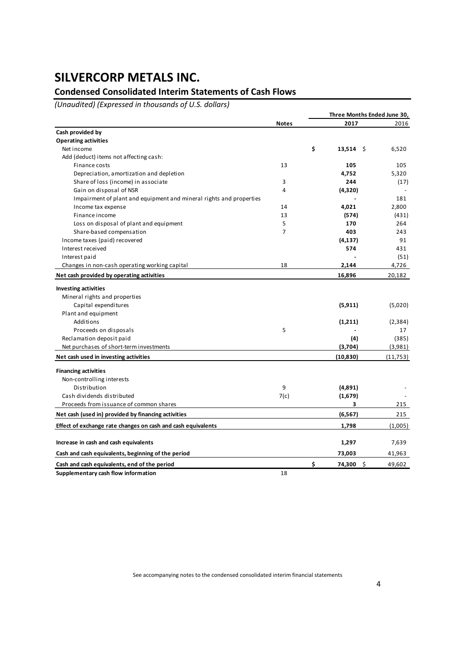### **Condensed Consolidated Interim Statements of Cash Flows**

*(Unaudited) (Expressed in thousands of U.S. dollars)*

|                                                                     |                |    | Three Months Ended June 30, |              |
|---------------------------------------------------------------------|----------------|----|-----------------------------|--------------|
|                                                                     | <b>Notes</b>   |    | 2017                        | 2016         |
| Cash provided by                                                    |                |    |                             |              |
| <b>Operating activities</b>                                         |                |    |                             |              |
| Net income                                                          |                | \$ | $13,514$ \$                 | 6,520        |
| Add (deduct) items not affecting cash:                              |                |    |                             |              |
| Finance costs                                                       | 13             |    | 105                         | 105          |
| Depreciation, amortization and depletion                            |                |    | 4,752                       | 5,320        |
| Share of loss (income) in associate                                 | 3              |    | 244                         | (17)         |
| Gain on disposal of NSR                                             | 4              |    | (4,320)                     |              |
| Impairment of plant and equipment and mineral rights and properties |                |    |                             | 181          |
| Income tax expense                                                  | 14             |    | 4,021                       | 2,800        |
| Finance income                                                      | 13             |    | (574)                       | (431)        |
| Loss on disposal of plant and equipment                             | 5              |    | 170                         | 264          |
| Share-based compensation                                            | $\overline{7}$ |    | 403                         | 243          |
| Income taxes (paid) recovered                                       |                |    | (4, 137)                    | 91           |
| Interest received                                                   |                |    | 574                         | 431          |
| Interest paid                                                       |                |    |                             | (51)         |
| Changes in non-cash operating working capital                       | 18             |    | 2,144                       | 4,726        |
| Net cash provided by operating activities                           |                |    | 16,896                      | 20,182       |
| <b>Investing activities</b>                                         |                |    |                             |              |
| Mineral rights and properties                                       |                |    |                             |              |
| Capital expenditures                                                |                |    | (5, 911)                    | (5,020)      |
| Plant and equipment                                                 |                |    |                             |              |
| Additions                                                           |                |    | (1,211)                     | (2, 384)     |
| Proceeds on disposals                                               | 5              |    |                             | 17           |
| Reclamation deposit paid                                            |                |    | (4)                         | (385)        |
| Net purchases of short-term investments                             |                |    | (3,704)                     | (3,981)      |
| Net cash used in investing activities                               |                |    | (10, 830)                   | (11,753)     |
| <b>Financing activities</b>                                         |                |    |                             |              |
| Non-controlling interests                                           |                |    |                             |              |
| Distribution                                                        | 9              |    | (4,891)                     |              |
| Cash dividends distributed                                          | 7(c)           |    | (1,679)                     |              |
| Proceeds from issuance of common shares                             |                |    | 3                           | 215          |
| Net cash (used in) provided by financing activities                 |                |    | (6, 567)                    | 215          |
| Effect of exchange rate changes on cash and cash equivalents        |                |    | 1,798                       | (1,005)      |
|                                                                     |                |    |                             |              |
| Increase in cash and cash equivalents                               |                |    | 1,297                       | 7,639        |
| Cash and cash equivalents, beginning of the period                  |                |    | 73,003                      | 41,963       |
| Cash and cash equivalents, end of the period                        |                | \$ | 74,300                      | \$<br>49,602 |
| Supplementary cash flow information                                 | 18             |    |                             |              |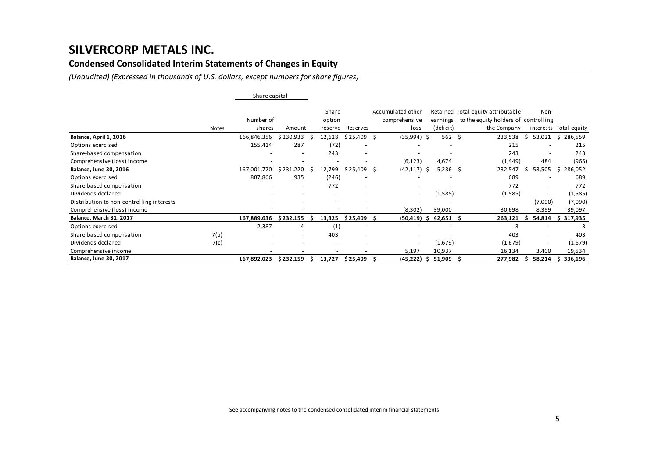### **Condensed Consolidated Interim Statements of Changes in Equity**

*(Unaudited) (Expressed in thousands of U.S. dollars, except numbers for share figures)*

|                                           |              | Share capital |                          |         |                          |   |                          |    |           |                                      |                          |                        |
|-------------------------------------------|--------------|---------------|--------------------------|---------|--------------------------|---|--------------------------|----|-----------|--------------------------------------|--------------------------|------------------------|
|                                           |              |               |                          | Share   |                          |   | Accumulated other        |    |           | Retained Total equity attributable   | Non-                     |                        |
|                                           |              | Number of     |                          | option  |                          |   | comprehensive            |    | earnings  | to the equity holders of controlling |                          |                        |
|                                           | <b>Notes</b> | shares        | Amount                   | reserve | Reserves                 |   | loss                     |    | (deficit) | the Company                          |                          | interests Total equity |
| Balance, April 1, 2016                    |              | 166,846,356   | \$230,933                | 12,628  | \$25,409                 | Ŝ | $(35,994)$ \$            |    | 562       | -Ś<br>233,538                        | 53,021                   | \$286,559              |
| Options exercised                         |              | 155,414       | 287                      | (72)    |                          |   |                          |    |           | 215                                  |                          | 215                    |
| Share-based compensation                  |              |               | $\overline{\phantom{a}}$ | 243     | $\overline{\phantom{a}}$ |   |                          |    |           | 243                                  | $\overline{\phantom{a}}$ | 243                    |
| Comprehensive (loss) income               |              |               |                          |         |                          |   | (6, 123)                 |    | 4,674     | (1, 449)                             | 484                      | (965)                  |
| Balance, June 30, 2016                    |              | 167,001,770   | \$231,220                | 12,799  | \$25,409                 | S | $(42, 117)$ \$           |    | 5,236     | -\$<br>232,547                       | 53,505<br>S.             | \$286,052              |
| Options exercised                         |              | 887,866       | 935                      | (246)   |                          |   |                          |    |           | 689                                  |                          | 689                    |
| Share-based compensation                  |              |               |                          | 772     |                          |   |                          |    |           | 772                                  | ٠                        | 772                    |
| Dividends declared                        |              |               |                          |         |                          |   | $\sim$                   |    | (1,585)   | (1,585)                              | $\overline{\phantom{a}}$ | (1,585)                |
| Distribution to non-controlling interests |              |               |                          |         |                          |   |                          |    |           | $\overline{\phantom{a}}$             | (7,090)                  | (7,090)                |
| Comprehensive (loss) income               |              |               |                          |         |                          |   | (8,302)                  |    | 39,000    | 30,698                               | 8,399                    | 39,097                 |
| <b>Balance, March 31, 2017</b>            |              | 167,889,636   | \$232,155                | 13,325  | \$25,409                 |   | $(50, 419)$ \$           |    | 42,651    | 263,121<br>-S                        | 54,814                   | 317,935<br>S           |
| Options exercised                         |              | 2,387         | 4                        | (1)     |                          |   |                          |    |           |                                      |                          | 3                      |
| Share-based compensation                  | 7(b)         |               | $\overline{\phantom{a}}$ | 403     | $\overline{\phantom{a}}$ |   |                          |    |           | 403                                  |                          | 403                    |
| Dividends declared                        | 7(c)         |               |                          |         |                          |   | $\overline{\phantom{a}}$ |    | (1,679)   | (1,679)                              |                          | (1,679)                |
| Comprehensive income                      |              |               |                          |         |                          |   | 5,197                    |    | 10,937    | 16,134                               | 3,400                    | 19,534                 |
| <b>Balance, June 30, 2017</b>             |              | 167,892,023   | \$232,159                | 13,727  | \$25,409                 |   | (45,222)                 | -S | 51,909    | 277,982<br>-5                        | 58,214                   | 336,196                |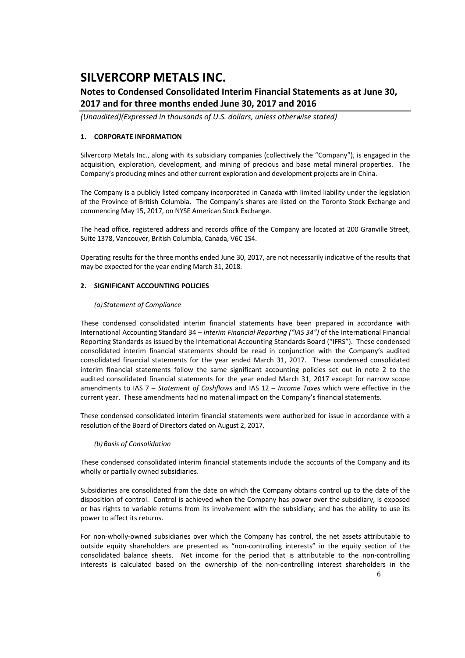### **Notes to Condensed Consolidated Interim Financial Statements as at June 30, 2017 and for three months ended June 30, 2017 and 2016**

*(Unaudited)(Expressed in thousands of U.S. dollars, unless otherwise stated)*

### **1. CORPORATE INFORMATION**

Silvercorp Metals Inc., along with its subsidiary companies (collectively the "Company"), is engaged in the acquisition, exploration, development, and mining of precious and base metal mineral properties. The Company's producing mines and other current exploration and development projects are in China.

The Company is a publicly listed company incorporated in Canada with limited liability under the legislation of the Province of British Columbia. The Company's shares are listed on the Toronto Stock Exchange and commencing May 15, 2017, on NYSE American Stock Exchange.

The head office, registered address and records office of the Company are located at 200 Granville Street, Suite 1378, Vancouver, British Columbia, Canada, V6C 1S4.

Operating results for the three months ended June 30, 2017, are not necessarily indicative of the results that may be expected for the year ending March 31, 2018.

### **2. SIGNIFICANT ACCOUNTING POLICIES**

### *(a) Statement of Compliance*

These condensed consolidated interim financial statements have been prepared in accordance with International Accounting Standard 34 – *Interim Financial Reporting ("IAS 34")* of the International Financial Reporting Standards as issued by the International Accounting Standards Board ("IFRS"). These condensed consolidated interim financial statements should be read in conjunction with the Company's audited consolidated financial statements for the year ended March 31, 2017. These condensed consolidated interim financial statements follow the same significant accounting policies set out in note 2 to the audited consolidated financial statements for the year ended March 31, 2017 except for narrow scope amendments to IAS 7 – *Statement of Cashflows* and IAS 12 – *Income Taxes* which were effective in the current year. These amendments had no material impact on the Company's financial statements.

These condensed consolidated interim financial statements were authorized for issue in accordance with a resolution of the Board of Directors dated on August 2, 2017.

### *(b)Basis of Consolidation*

These condensed consolidated interim financial statements include the accounts of the Company and its wholly or partially owned subsidiaries.

Subsidiaries are consolidated from the date on which the Company obtains control up to the date of the disposition of control. Control is achieved when the Company has power over the subsidiary, is exposed or has rights to variable returns from its involvement with the subsidiary; and has the ability to use its power to affect its returns.

For non-wholly-owned subsidiaries over which the Company has control, the net assets attributable to outside equity shareholders are presented as "non‐controlling interests" in the equity section of the consolidated balance sheets. Net income for the period that is attributable to the non-controlling interests is calculated based on the ownership of the non-controlling interest shareholders in the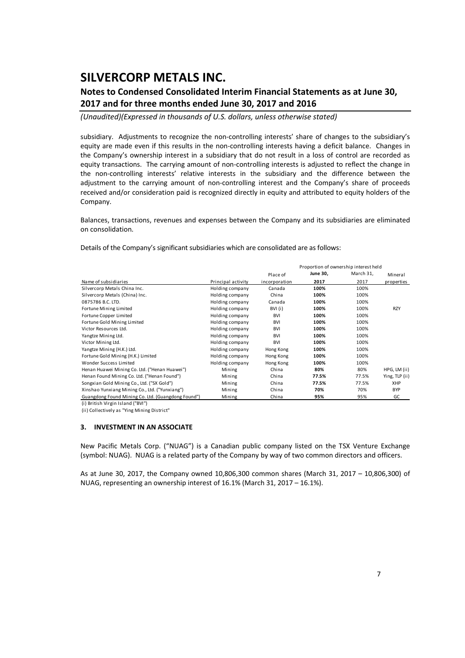### **Notes to Condensed Consolidated Interim Financial Statements as at June 30, 2017 and for three months ended June 30, 2017 and 2016**

*(Unaudited)(Expressed in thousands of U.S. dollars, unless otherwise stated)*

subsidiary. Adjustments to recognize the non-controlling interests' share of changes to the subsidiary's equity are made even if this results in the non-controlling interests having a deficit balance. Changes in the Company's ownership interest in a subsidiary that do not result in a loss of control are recorded as equity transactions. The carrying amount of non-controlling interests is adjusted to reflect the change in the non-controlling interests' relative interests in the subsidiary and the difference between the adjustment to the carrying amount of non-controlling interest and the Company's share of proceeds received and/or consideration paid is recognized directly in equity and attributed to equity holders of the Company.

Balances, transactions, revenues and expenses between the Company and its subsidiaries are eliminated on consolidation.

Details of the Company's significant subsidiaries which are consolidated are as follows:

|                                                    |                    |               | Proportion of ownership interest held |           |                |
|----------------------------------------------------|--------------------|---------------|---------------------------------------|-----------|----------------|
|                                                    |                    | Place of      | <b>June 30,</b>                       | March 31, | Mineral        |
| Name of subsidiaries                               | Principal activity | incorporation | 2017                                  | 2017      | properties     |
| Silvercorp Metals China Inc.                       | Holding company    | Canada        | 100%                                  | 100%      |                |
| Silvercorp Metals (China) Inc.                     | Holding company    | China         | 100%                                  | 100%      |                |
| 0875786 B.C. LTD.                                  | Holding company    | Canada        | 100%                                  | 100%      |                |
| Fortune Mining Limited                             | Holding company    | BVI (i)       | 100%                                  | 100%      | <b>RZY</b>     |
| Fortune Copper Limited                             | Holding company    | <b>BVI</b>    | 100%                                  | 100%      |                |
| Fortune Gold Mining Limited                        | Holding company    | <b>BVI</b>    | 100%                                  | 100%      |                |
| Victor Resources Ltd.                              | Holding company    | <b>BVI</b>    | 100%                                  | 100%      |                |
| Yangtze Mining Ltd.                                | Holding company    | <b>BVI</b>    | 100%                                  | 100%      |                |
| Victor Mining Ltd.                                 | Holding company    | <b>BVI</b>    | 100%                                  | 100%      |                |
| Yangtze Mining (H.K.) Ltd.                         | Holding company    | Hong Kong     | 100%                                  | 100%      |                |
| Fortune Gold Mining (H.K.) Limited                 | Holding company    | Hong Kong     | 100%                                  | 100%      |                |
| Wonder Success Limited                             | Holding company    | Hong Kong     | 100%                                  | 100%      |                |
| Henan Huawei Mining Co. Ltd. ("Henan Huawei")      | Mining             | China         | 80%                                   | 80%       | HPG, LM (ii)   |
| Henan Found Mining Co. Ltd. ("Henan Found")        | Mining             | China         | 77.5%                                 | 77.5%     | Ying, TLP (ii) |
| Songxian Gold Mining Co., Ltd. ("SX Gold")         | Mining             | China         | 77.5%                                 | 77.5%     | XHP            |
| Xinshao Yunxiang Mining Co., Ltd. ("Yunxiang")     | Mining             | China         | 70%                                   | 70%       | <b>BYP</b>     |
| Guangdong Found Mining Co. Ltd. (Guangdong Found") | Mining             | China         | 95%                                   | 95%       | GC             |

(i) British Virgin Island ("BVI")

(ii) Collectively as "Ying Mining District"

#### **3. INVESTMENT IN AN ASSOCIATE**

New Pacific Metals Corp. ("NUAG") is a Canadian public company listed on the TSX Venture Exchange (symbol: NUAG). NUAG is a related party of the Company by way of two common directors and officers.

As at June 30, 2017, the Company owned 10,806,300 common shares (March 31, 2017 – 10,806,300) of NUAG, representing an ownership interest of 16.1% (March 31, 2017 – 16.1%).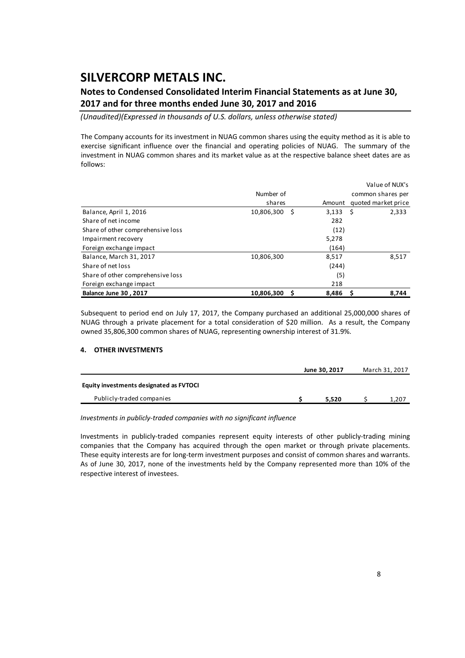### **Notes to Condensed Consolidated Interim Financial Statements as at June 30, 2017 and for three months ended June 30, 2017 and 2016**

*(Unaudited)(Expressed in thousands of U.S. dollars, unless otherwise stated)*

The Company accounts for its investment in NUAG common shares using the equity method as it is able to exercise significant influence over the financial and operating policies of NUAG. The summary of the investment in NUAG common shares and its market value as at the respective balance sheet dates are as follows:

|                                   |                    |        | Value of NUX's      |
|-----------------------------------|--------------------|--------|---------------------|
|                                   | Number of          |        | common shares per   |
|                                   | shares             | Amount | quoted market price |
| Balance, April 1, 2016            | 10,806,300<br>- \$ | 3,133  | Ŝ.<br>2,333         |
| Share of net income               |                    | 282    |                     |
| Share of other comprehensive loss |                    | (12)   |                     |
| Impairment recovery               |                    | 5,278  |                     |
| Foreign exchange impact           |                    | (164)  |                     |
| Balance, March 31, 2017           | 10,806,300         | 8,517  | 8,517               |
| Share of net loss                 |                    | (244)  |                     |
| Share of other comprehensive loss |                    | (5)    |                     |
| Foreign exchange impact           |                    | 218    |                     |
| <b>Balance June 30, 2017</b>      | 10.806.300<br>S    | 8.486  | 8.744               |

Subsequent to period end on July 17, 2017, the Company purchased an additional 25,000,000 shares of NUAG through a private placement for a total consideration of \$20 million. As a result, the Company owned 35,806,300 common shares of NUAG, representing ownership interest of 31.9%.

### **4. OTHER INVESTMENTS**

|                                         | June 30, 2017 | March 31, 2017 |
|-----------------------------------------|---------------|----------------|
| Equity investments designated as FVTOCI |               |                |
| Publicly-traded companies               | 5.520         | 1,207          |

*Investments in publicly‐traded companies with no significant influence*

Investments in publicly‐traded companies represent equity interests of other publicly‐trading mining companies that the Company has acquired through the open market or through private placements. These equity interests are for long‐term investment purposes and consist of common shares and warrants. As of June 30, 2017, none of the investments held by the Company represented more than 10% of the respective interest of investees.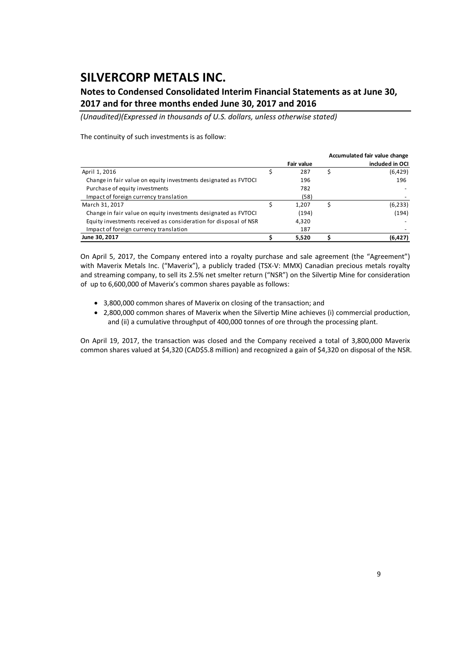### **Notes to Condensed Consolidated Interim Financial Statements as at June 30, 2017 and for three months ended June 30, 2017 and 2016**

*(Unaudited)(Expressed in thousands of U.S. dollars, unless otherwise stated)*

#### The continuity of such investments is as follow:

|                                                                  |                   | Accumulated fair value change |
|------------------------------------------------------------------|-------------------|-------------------------------|
|                                                                  | <b>Fair value</b> | included in OCI               |
| April 1, 2016                                                    | 287               | (6,429)                       |
| Change in fair value on equity investments designated as FVTOCI  | 196               | 196                           |
| Purchase of equity investments                                   | 782               |                               |
| Impact of foreign currency translation                           | (58)              |                               |
| March 31, 2017                                                   | 1.207             | (6, 233)                      |
| Change in fair value on equity investments designated as FVTOCI  | (194)             | (194)                         |
| Equity investments received as consideration for disposal of NSR | 4.320             |                               |
| Impact of foreign currency translation                           | 187               |                               |
| June 30, 2017                                                    | 5,520             | (6, 427)                      |

On April 5, 2017, the Company entered into a royalty purchase and sale agreement (the "Agreement") with Maverix Metals Inc. ("Maverix"), a publicly traded (TSX-V: MMX) Canadian precious metals royalty and streaming company, to sell its 2.5% net smelter return ("NSR") on the Silvertip Mine for consideration of up to 6,600,000 of Maverix's common shares payable as follows:

- 3,800,000 common shares of Maverix on closing of the transaction; and
- 2,800,000 common shares of Maverix when the Silvertip Mine achieves (i) commercial production, and (ii) a cumulative throughput of 400,000 tonnes of ore through the processing plant.

On April 19, 2017, the transaction was closed and the Company received a total of 3,800,000 Maverix common shares valued at \$4,320 (CAD\$5.8 million) and recognized a gain of \$4,320 on disposal of the NSR.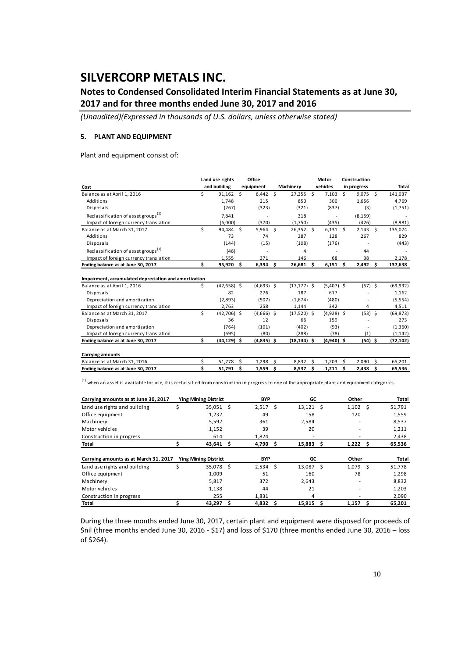### **Notes to Condensed Consolidated Interim Financial Statements as at June 30, 2017 and for three months ended June 30, 2017 and 2016**

*(Unaudited)(Expressed in thousands of U.S. dollars, unless otherwise stated)*

#### **5. PLANT AND EQUIPMENT**

Plant and equipment consist of:

|                                                                                                                                                       |     | Land use rights |     | Office       |                |    | Motor        |      | Construction |    |           |
|-------------------------------------------------------------------------------------------------------------------------------------------------------|-----|-----------------|-----|--------------|----------------|----|--------------|------|--------------|----|-----------|
| Cost                                                                                                                                                  |     | and building    |     | equipment    | Machinery      |    | vehicles     |      | in progress  |    | Total     |
| Balance as at April 1, 2016                                                                                                                           | Ś   | 91,162          | S.  | $6,442$ \$   | $27,255$ \$    |    | 7,103        | Ŝ.   | $9,075$ \$   |    | 141,037   |
| Additions                                                                                                                                             |     | 1,748           |     | 215          | 850            |    | 300          |      | 1,656        |    | 4,769     |
| Disposals                                                                                                                                             |     | (267)           |     | (323)        | (321)          |    | (837)        |      | (3)          |    | (1,751)   |
| Reclassification of asset groups <sup>(1)</sup>                                                                                                       |     | 7,841           |     |              | 318            |    |              |      | (8, 159)     |    |           |
| Impact of foreign currency translation                                                                                                                |     | (6,000)         |     | (370)        | (1,750)        |    | (435)        |      | (426)        |    | (8,981)   |
| Balance as at March 31, 2017                                                                                                                          | Ś   | 94,484 \$       |     | $5,964$ \$   | $26,352$ \$    |    | $6,131$ \$   |      | $2,143$ \$   |    | 135,074   |
| Additions                                                                                                                                             |     | 73              |     | 74           | 287            |    | 128          |      | 267          |    | 829       |
| Disposals                                                                                                                                             |     | (144)           |     | (15)         | (108)          |    | (176)        |      |              |    | (443)     |
| Reclassification of asset groups <sup>(1)</sup>                                                                                                       |     | (48)            |     |              | 4              |    |              |      | 44           |    |           |
| Impact of foreign currency translation                                                                                                                |     | 1,555           |     | 371          | 146            |    | 68           |      | 38           |    | 2,178     |
| Ending balance as at June 30, 2017                                                                                                                    | \$. | 95,920 \$       |     | $6,394$ \$   | $26,681$ \$    |    | 6,151        | - \$ | $2,492$ \$   |    | 137,638   |
| Impairment, accumulated depreciation and amortization                                                                                                 |     |                 |     |              |                |    |              |      |              |    |           |
| Balance as at April 1, 2016                                                                                                                           | Ś.  | $(42, 658)$ \$  |     | $(4,693)$ \$ | $(17, 177)$ \$ |    | $(5,407)$ \$ |      | $(57)$ \$    |    | (69, 992) |
| Disposals                                                                                                                                             |     | 82              |     | 276          | 187            |    | 617          |      |              |    | 1,162     |
| Depreciation and amortization                                                                                                                         |     | (2.893)         |     | (507)        | (1,674)        |    | (480)        |      |              |    | (5, 554)  |
| Impact of foreign currency translation                                                                                                                |     | 2,763           |     | 258          | 1,144          |    | 342          |      | 4            |    | 4,511     |
| Balance as at March 31, 2017                                                                                                                          | Ś   | $(42,706)$ \$   |     | $(4,666)$ \$ | $(17,520)$ \$  |    | $(4,928)$ \$ |      | $(53)$ \$    |    | (69, 873) |
| Disposals                                                                                                                                             |     | 36              |     | 12           | 66             |    | 159          |      |              |    | 273       |
| Depreciation and amortization                                                                                                                         |     | (764)           |     | (101)        | (402)          |    | (93)         |      |              |    | (1,360)   |
| Impact of foreign currency translation                                                                                                                |     | (695)           |     | (80)         | (288)          |    | (78)         |      | (1)          |    | (1, 142)  |
| Ending balance as at June 30, 2017                                                                                                                    | Ś.  | $(44, 129)$ \$  |     | $(4,835)$ \$ | $(18, 144)$ \$ |    | $(4,940)$ \$ |      | $(54)$ \$    |    | (72, 102) |
| <b>Carrying amounts</b>                                                                                                                               |     |                 |     |              |                |    |              |      |              |    |           |
| Balance as at March 31, 2016                                                                                                                          | \$  | 51,778          | Ś.  | 1,298        | \$<br>8,832    | Ŝ  | 1,203        | Ŝ    | 2,090        | S. | 65,201    |
| Ending balance as at June 30, 2017                                                                                                                    | \$  | 51,791          | \$. | 1,559        | \$<br>8,537    | \$ | 1,211        | Ŝ    | $2,438$ \$   |    | 65,536    |
| (1)<br>when an asset is available for use, it is reclassified from construction in progress to one of the appropriate plant and equipment categories. |     |                 |     |              |                |    |              |      |              |    |           |

| Carrying amounts as at June 30, 2017  | <b>Ying Mining District</b> |      | <b>BYP</b> | GC           |      | Other      |   | Total  |
|---------------------------------------|-----------------------------|------|------------|--------------|------|------------|---|--------|
| Land use rights and building          | 35,051                      | - \$ | 2,517      | \$<br>13,121 | - \$ | 1,102      | Ŝ | 51,791 |
| Office equipment                      | 1,232                       |      | 49         | 158          |      | 120        |   | 1,559  |
| Machinery                             | 5,592                       |      | 361        | 2,584        |      | ۰          |   | 8,537  |
| Motor vehicles                        | 1,152                       |      | 39         | 20           |      |            |   | 1,211  |
| Construction in progress              | 614                         |      | 1.824      |              |      |            |   | 2,438  |
| Total                                 | $43,641$ \$                 |      | 4,790 \$   | 15,883       | -S   | $1,222$ \$ |   | 65,536 |
|                                       |                             |      |            |              |      |            |   |        |
|                                       |                             |      |            |              |      |            |   |        |
| Carrying amounts as at March 31, 2017 | <b>Ying Mining District</b> |      | <b>BYP</b> | GC           |      | Other      |   | Total  |
| Land use rights and building          | 35,078 \$                   |      | $2,534$ \$ | 13,087       | - \$ | 1,079 \$   |   | 51,778 |
| Office equipment                      | 1.009                       |      | 51         | 160          |      | 78         |   | 1,298  |
| Machinery                             | 5,817                       |      | 372        | 2,643        |      | ٠          |   | 8,832  |
| Motor vehicles                        | 1,138                       |      | 44         | 21           |      | ۰          |   | 1,203  |
| Construction in progress              | 255                         |      | 1,831      | 4            |      | ۰          |   | 2,090  |

During the three months ended June 30, 2017, certain plant and equipment were disposed for proceeds of \$nil (three months ended June 30, 2016 ‐ \$17) and loss of \$170 (three months ended June 30, 2016 – loss of \$264).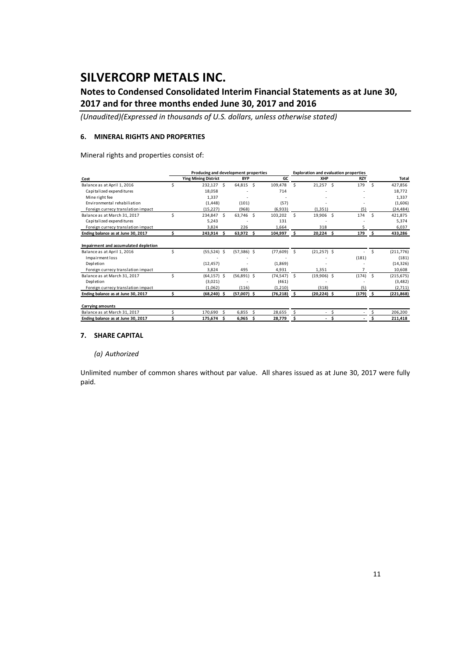### **Notes to Condensed Consolidated Interim Financial Statements as at June 30, 2017 and for three months ended June 30, 2017 and 2016**

*(Unaudited)(Expressed in thousands of U.S. dollars, unless otherwise stated)*

#### **6. MINERAL RIGHTS AND PROPERTIES**

Mineral rights and properties consist of:

|                                                                                        |    | Producing and development properties |     |                        |    |                               |     | <b>Exploration and evaluation properties</b> |    |              |      |                                   |
|----------------------------------------------------------------------------------------|----|--------------------------------------|-----|------------------------|----|-------------------------------|-----|----------------------------------------------|----|--------------|------|-----------------------------------|
| Cost                                                                                   |    | <b>Ying Mining District</b>          |     | <b>BYP</b>             |    | GC                            |     | XHP                                          |    | <b>RZY</b>   |      | <b>Total</b>                      |
| Balance as at April 1, 2016                                                            |    | 232,127 \$                           |     | 64,815                 | Ŝ. | 109,478                       | Ŝ.  | $21,257$ \$                                  |    | 179          | Ŝ.   | 427.856                           |
| Capitalized expenditures                                                               |    | 18,058                               |     |                        |    | 714                           |     |                                              |    |              |      | 18.772                            |
| Mine right fee                                                                         |    | 1.337                                |     |                        |    |                               |     |                                              |    |              |      | 1,337                             |
| Environmental rehabiliation                                                            |    | (1, 448)                             |     | (101)                  |    | (57)                          |     |                                              |    |              |      | (1,606)                           |
| Foreign currecy translation impact                                                     |    | (15, 227)                            |     | (968)                  |    | (6,933)                       |     | (1, 351)                                     |    | (5)          |      | (24, 484)                         |
| Balance as at March 31, 2017                                                           | Ś. | 234,847 \$                           |     | 63,746                 | Ŝ. | 103,202                       | Ŝ.  | 19,906 \$                                    |    | 174          | - Ś  | 421,875                           |
| Capitalized expenditures                                                               |    | 5.243                                |     |                        |    | 131                           |     |                                              |    |              |      | 5,374                             |
| Foreign currecy translation impact                                                     |    | 3.824                                |     | 226                    |    | 1,664                         |     | 318                                          |    |              |      | 6,037                             |
| Ending balance as at June 30, 2017                                                     | Ś. | 243,914 \$                           |     | 63,972 \$              |    | 104,997 \$                    |     | $20,224$ \$                                  |    | 179          | - \$ | 433,286                           |
| Impairment and accumulated depletion<br>Balance as at April 1, 2016<br>Impairment loss | Ś  | $(55,524)$ \$                        |     | $(57,386)$ \$          |    | (77, 609)                     | - Ś | $(21, 257)$ \$                               |    | (181)        | Ś.   | (211, 776)<br>(181)               |
| Depletion                                                                              |    | (12, 457)                            |     |                        |    | (1,869)                       |     |                                              |    |              |      | (14, 326)                         |
| Foreign currecy translation impact                                                     |    | 3,824                                |     | 495                    |    | 4,931                         |     | 1,351                                        |    |              |      | 10,608                            |
| Balance as at March 31, 2017<br>Depletion<br>Foreign currecy translation impact        | Ś  | $(64, 157)$ \$<br>(3,021)<br>(1.062) |     | $(56,891)$ \$<br>(116) |    | (74, 547)<br>(461)<br>(1,210) | Ŝ.  | $(19,906)$ \$<br>(318)                       |    | (174)<br>(5) | Ŝ.   | (215, 675)<br>(3, 482)<br>(2,711) |
| Ending balance as at June 30, 2017                                                     | ς. | $(68, 240)$ \$                       |     | $(57,007)$ \$          |    | $(76,218)$ \$                 |     | $(20, 224)$ \$                               |    | $(179)$ \$   |      | (221, 868)                        |
| <b>Carrying amounts</b>                                                                |    |                                      |     |                        |    |                               |     |                                              |    |              |      |                                   |
| Balance as at March 31, 2017                                                           |    | 170,690                              | \$. | 6,855                  | ς  | 28,655                        |     | $\sim$                                       | Ŝ. |              |      | 206,200                           |
| Ending balance as at June 30, 2017                                                     |    | 175,674                              | .s  | 6,965                  | Ŝ  | 28,779                        | \$  | $\overline{\phantom{a}}$                     |    |              |      | 211,418                           |

#### **7. SHARE CAPITAL**

### *(a) Authorized*

Unlimited number of common shares without par value. All shares issued as at June 30, 2017 were fully paid.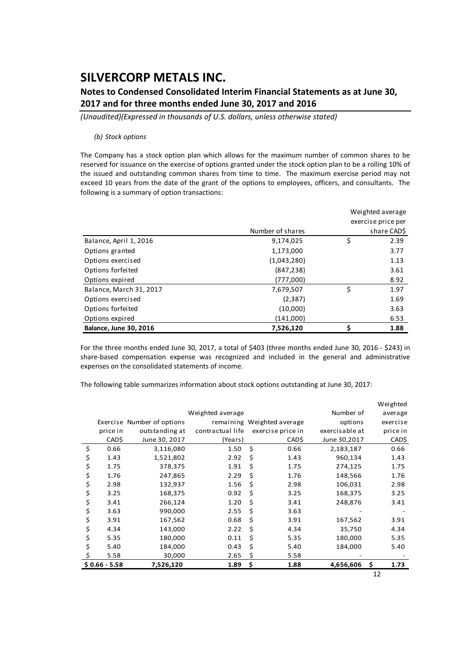### **Notes to Condensed Consolidated Interim Financial Statements as at June 30, 2017 and for three months ended June 30, 2017 and 2016**

*(Unaudited)(Expressed in thousands of U.S. dollars, unless otherwise stated)*

#### *(b) Stock options*

The Company has a stock option plan which allows for the maximum number of common shares to be reserved for issuance on the exercise of options granted under the stock option plan to be a rolling 10% of the issued and outstanding common shares from time to time. The maximum exercise period may not exceed 10 years from the date of the grant of the options to employees, officers, and consultants. The following is a summary of option transactions:

|                               |                  | Weighted average   |
|-------------------------------|------------------|--------------------|
|                               |                  | exercise price per |
|                               | Number of shares | share CAD\$        |
| Balance, April 1, 2016        | 9,174,025        | \$<br>2.39         |
| Options granted               | 1,173,000        | 3.77               |
| Options exercised             | (1,043,280)      | 1.13               |
| Options forfeited             | (847, 238)       | 3.61               |
| Options expired               | (777,000)        | 8.92               |
| Balance, March 31, 2017       | 7,679,507        | \$<br>1.97         |
| Options exercised             | (2, 387)         | 1.69               |
| Options forfeited             | (10,000)         | 3.63               |
| Options expired               | (141,000)        | 6.53               |
| <b>Balance, June 30, 2016</b> | 7,526,120        | 1.88               |

For the three months ended June 30, 2017, a total of \$403 (three months ended June 30, 2016 ‐ \$243) in share-based compensation expense was recognized and included in the general and administrative expenses on the consolidated statements of income.

The following table summarizes information about stock options outstanding at June 30, 2017:

|                |                            |                  |    |                            |                | Weighted   |
|----------------|----------------------------|------------------|----|----------------------------|----------------|------------|
|                |                            | Weighted average |    |                            | Number of      | average    |
|                | Exercise Number of options |                  |    | remaining Weighted average | options        | exercise   |
| price in       | outstanding at             | contractual life |    | exercise price in          | exercisable at | price in   |
| CAD\$          | June 30, 2017              | (Years)          |    | CAD\$                      | June 30,2017   | CAD\$      |
| \$<br>0.66     | 3,116,080                  | 1.50             | \$ | 0.66                       | 2,183,187      | 0.66       |
| \$<br>1.43     | 1,521,802                  | 2.92             | \$ | 1.43                       | 960,134        | 1.43       |
| \$<br>1.75     | 378,375                    | 1.91             | \$ | 1.75                       | 274,125        | 1.75       |
| \$<br>1.76     | 247,865                    | 2.29             | \$ | 1.76                       | 148,566        | 1.76       |
| \$<br>2.98     | 132,937                    | 1.56             | \$ | 2.98                       | 106,031        | 2.98       |
| \$<br>3.25     | 168,375                    | 0.92             | \$ | 3.25                       | 168,375        | 3.25       |
| \$<br>3.41     | 266,124                    | 1.20             | Ś  | 3.41                       | 248,876        | 3.41       |
| \$<br>3.63     | 990,000                    | 2.55             | Ś  | 3.63                       |                |            |
| \$<br>3.91     | 167,562                    | 0.68             | \$ | 3.91                       | 167,562        | 3.91       |
| \$<br>4.34     | 143,000                    | 2.22             | \$ | 4.34                       | 35,750         | 4.34       |
| \$<br>5.35     | 180,000                    | 0.11             | Ś  | 5.35                       | 180,000        | 5.35       |
| \$<br>5.40     | 184,000                    | 0.43             | \$ | 5.40                       | 184,000        | 5.40       |
| 5.58           | 30,000                     | 2.65             | \$ | 5.58                       |                |            |
| $$0.66 - 5.58$ | 7,526,120                  | 1.89             | \$ | 1.88                       | 4,656,606      | \$<br>1.73 |

12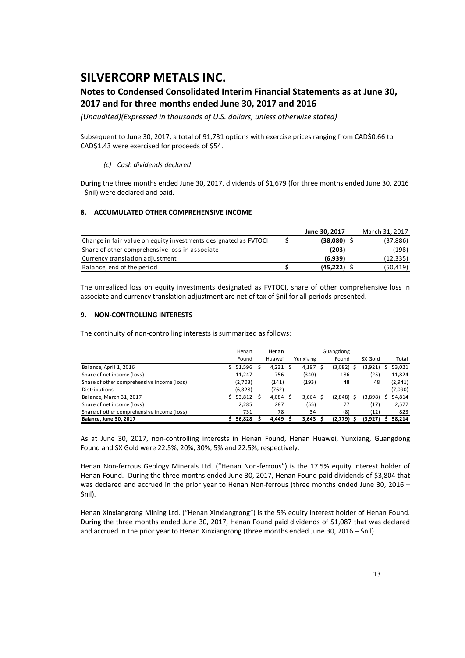### **Notes to Condensed Consolidated Interim Financial Statements as at June 30, 2017 and for three months ended June 30, 2017 and 2016**

*(Unaudited)(Expressed in thousands of U.S. dollars, unless otherwise stated)*

Subsequent to June 30, 2017, a total of 91,731 options with exercise prices ranging from CAD\$0.66 to CAD\$1.43 were exercised for proceeds of \$54.

### *(c) Cash dividends declared*

During the three months ended June 30, 2017, dividends of \$1,679 (for three months ended June 30, 2016 ‐ \$nil) were declared and paid.

### **8. ACCUMULATED OTHER COMPREHENSIVE INCOME**

|                                                                 | June 30, 2017 | March 31, 2017 |
|-----------------------------------------------------------------|---------------|----------------|
| Change in fair value on equity investments designated as FVTOCI | $(38,080)$ \$ | (37, 886)      |
| Share of other comprehensive loss in associate                  | (203)         | (198)          |
| Currency translation adjustment                                 | (6.939)       | (12,335)       |
| Balance, end of the period                                      | (45, 222)     | (50, 419)      |

The unrealized loss on equity investments designated as FVTOCI, share of other comprehensive loss in associate and currency translation adjustment are net of tax of \$nil for all periods presented.

#### **9. NON‐CONTROLLING INTERESTS**

The continuity of non-controlling interests is summarized as follows:

|                                            |    | Henan    | Henan  |                    | Guangdong     |         |   |         |
|--------------------------------------------|----|----------|--------|--------------------|---------------|---------|---|---------|
|                                            |    | Found    | Huawei | Yunxiang           | Found         | SX Gold |   | Total   |
| Balance, April 1, 2016                     |    | 51,596   | 4,231  | 4,197 \$           | (3,082)<br>-S | (3,921) | S | 53,021  |
| Share of net income (loss)                 |    | 11.247   | 756    | (340)              | 186           | (25)    |   | 11,824  |
| Share of other comprehensive income (loss) |    | (2,703)  | (141)  | (193)              | 48            | 48      |   | (2,941) |
| Distributions                              |    | (6, 328) | (762)  |                    |               |         |   | (7,090) |
| Balance, March 31, 2017                    | Ś. | 53,812   | 4,084  | $3,664$ \$         | $(2,848)$ \$  | (3,898) | s | 54,814  |
| Share of net income (loss)                 |    | 2.285    | 287    | (55)               | 77            | (17)    |   | 2,577   |
| Share of other comprehensive income (loss) |    | 731      | 78     | 34                 | (8)           | (12)    |   | 823     |
| <b>Balance, June 30, 2017</b>              |    | 56.828   | 4.449  | 3.643 <sub>5</sub> | $(2,779)$ \$  | (3,927) | s | 58.214  |

As at June 30, 2017, non‐controlling interests in Henan Found, Henan Huawei, Yunxiang, Guangdong Found and SX Gold were 22.5%, 20%, 30%, 5% and 22.5%, respectively.

Henan Non-ferrous Geology Minerals Ltd. ("Henan Non-ferrous") is the 17.5% equity interest holder of Henan Found. During the three months ended June 30, 2017, Henan Found paid dividends of \$3,804 that was declared and accrued in the prior year to Henan Non-ferrous (three months ended June 30, 2016 – \$nil).

Henan Xinxiangrong Mining Ltd. ("Henan Xinxiangrong") is the 5% equity interest holder of Henan Found. During the three months ended June 30, 2017, Henan Found paid dividends of \$1,087 that was declared and accrued in the prior year to Henan Xinxiangrong (three months ended June 30, 2016 – \$nil).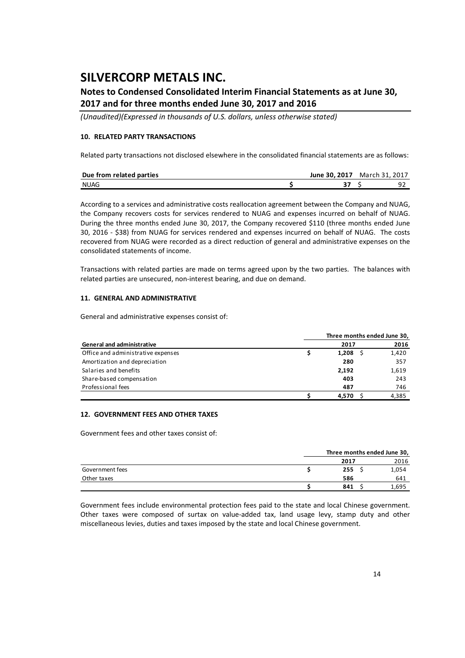### **Notes to Condensed Consolidated Interim Financial Statements as at June 30, 2017 and for three months ended June 30, 2017 and 2016**

*(Unaudited)(Expressed in thousands of U.S. dollars, unless otherwise stated)*

### **10. RELATED PARTY TRANSACTIONS**

Related party transactions not disclosed elsewhere in the consolidated financial statements are as follows:

| Due from related parties | June 30, 2017 | March 31, 2017 |  |
|--------------------------|---------------|----------------|--|
| <b>NUAG</b>              |               |                |  |

According to a services and administrative costs reallocation agreement between the Company and NUAG, the Company recovers costs for services rendered to NUAG and expenses incurred on behalf of NUAG. During the three months ended June 30, 2017, the Company recovered \$110 (three months ended June 30, 2016 ‐ \$38) from NUAG for services rendered and expenses incurred on behalf of NUAG. The costs recovered from NUAG were recorded as a direct reduction of general and administrative expenses on the consolidated statements of income.

Transactions with related parties are made on terms agreed upon by the two parties. The balances with related parties are unsecured, non‐interest bearing, and due on demand.

### **11. GENERAL AND ADMINISTRATIVE**

General and administrative expenses consist of:

|                                    |       | Three months ended June 30, |
|------------------------------------|-------|-----------------------------|
| <b>General and administrative</b>  | 2017  | 2016                        |
| Office and administrative expenses | 1.208 | 1,420                       |
| Amortization and depreciation      | 280   | 357                         |
| Salaries and benefits              | 2,192 | 1,619                       |
| Share-based compensation           | 403   | 243                         |
| Professional fees                  | 487   | 746                         |
|                                    | 4.570 | 4,385                       |

### **12. GOVERNMENT FEES AND OTHER TAXES**

Government fees and other taxes consist of:

|                 |      | Three months ended June 30, |       |  |  |  |
|-----------------|------|-----------------------------|-------|--|--|--|
|                 | 2017 |                             | 2016  |  |  |  |
| Government fees | 255  |                             | 1,054 |  |  |  |
| Other taxes     | 586  |                             | 641   |  |  |  |
|                 | 841  |                             | 695.ء |  |  |  |

Government fees include environmental protection fees paid to the state and local Chinese government. Other taxes were composed of surtax on value‐added tax, land usage levy, stamp duty and other miscellaneous levies, duties and taxes imposed by the state and local Chinese government.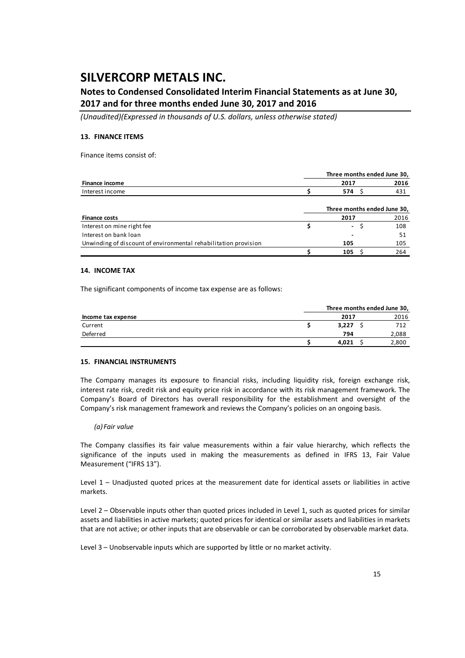### **Notes to Condensed Consolidated Interim Financial Statements as at June 30, 2017 and for three months ended June 30, 2017 and 2016**

*(Unaudited)(Expressed in thousands of U.S. dollars, unless otherwise stated)*

#### **13. FINANCE ITEMS**

Finance items consist of:

|                                                                 |      | Three months ended June 30, |
|-----------------------------------------------------------------|------|-----------------------------|
| Finance income                                                  | 2017 | 2016                        |
| Interest income                                                 | 574  | 431                         |
|                                                                 |      | Three months ended June 30, |
| <b>Finance costs</b>                                            | 2017 | 2016                        |
| Interest on mine right fee                                      | ۰.   | 108                         |
| Interest on bank loan                                           |      | 51                          |
| Unwinding of discount of environmental rehabilitation provision | 105  | 105                         |
|                                                                 | 105  | 264                         |

#### **14. INCOME TAX**

The significant components of income tax expense are as follows:

|                    |       |      | Three months ended June 30, |
|--------------------|-------|------|-----------------------------|
| Income tax expense |       | 2017 | 2016                        |
| Current            | 3.227 |      | 712                         |
| Deferred           |       | 794  | 2,088                       |
|                    | 4.021 |      | 2,800                       |

#### **15. FINANCIAL INSTRUMENTS**

The Company manages its exposure to financial risks, including liquidity risk, foreign exchange risk, interest rate risk, credit risk and equity price risk in accordance with its risk management framework. The Company's Board of Directors has overall responsibility for the establishment and oversight of the Company's risk management framework and reviews the Company's policies on an ongoing basis.

#### *(a) Fair value*

The Company classifies its fair value measurements within a fair value hierarchy, which reflects the significance of the inputs used in making the measurements as defined in IFRS 13, Fair Value Measurement ("IFRS 13").

Level 1 – Unadjusted quoted prices at the measurement date for identical assets or liabilities in active markets.

Level 2 – Observable inputs other than quoted prices included in Level 1, such as quoted prices for similar assets and liabilities in active markets; quoted prices for identical or similar assets and liabilities in markets that are not active; or other inputs that are observable or can be corroborated by observable market data.

Level 3 – Unobservable inputs which are supported by little or no market activity.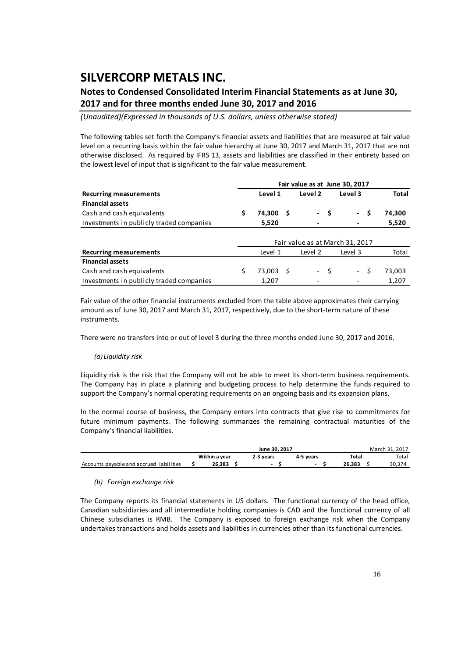### **Notes to Condensed Consolidated Interim Financial Statements as at June 30, 2017 and for three months ended June 30, 2017 and 2016**

*(Unaudited)(Expressed in thousands of U.S. dollars, unless otherwise stated)*

The following tables set forth the Company's financial assets and liabilities that are measured at fair value level on a recurring basis within the fair value hierarchy at June 30, 2017 and March 31, 2017 that are not otherwise disclosed. As required by IFRS 13, assets and liabilities are classified in their entirety based on the lowest level of input that is significant to the fair value measurement.

|                                          |                                 | Fair value as at June 30, 2017 |     |                    |      |                       |        |
|------------------------------------------|---------------------------------|--------------------------------|-----|--------------------|------|-----------------------|--------|
| <b>Recurring measurements</b>            |                                 | Level 1                        |     | Level <sub>2</sub> |      | Level 3               | Total  |
| <b>Financial assets</b>                  |                                 |                                |     |                    |      |                       |        |
| Cash and cash equivalents                | S                               | 74,300                         | - S |                    | - \$ | .s<br>$\sim$ 10 $\pm$ | 74,300 |
| Investments in publicly traded companies |                                 | 5,520                          |     |                    |      |                       | 5,520  |
|                                          | Fair value as at March 31, 2017 |                                |     |                    |      |                       |        |
| <b>Recurring measurements</b>            |                                 | Level 1                        |     | Level 2            |      | Level 3               | Total  |
| <b>Financial assets</b>                  |                                 |                                |     |                    |      |                       |        |
| Cash and cash equivalents                |                                 | 73,003                         | - S |                    | $-5$ | - \$                  | 73,003 |
| Investments in publicly traded companies |                                 | 1,207                          |     |                    |      |                       | 1,207  |

Fair value of the other financial instruments excluded from the table above approximates their carrying amount as of June 30, 2017 and March 31, 2017, respectively, due to the short-term nature of these instruments.

There were no transfers into or out of level 3 during the three months ended June 30, 2017 and 2016.

#### *(a) Liquidity risk*

Liquidity risk is the risk that the Company will not be able to meet its short‐term business requirements. The Company has in place a planning and budgeting process to help determine the funds required to support the Company's normal operating requirements on an ongoing basis and its expansion plans.

In the normal course of business, the Company enters into contracts that give rise to commitments for future minimum payments. The following summarizes the remaining contractual maturities of the Company's financial liabilities.

|                                          |               | March 31, 2017 |           |        |       |
|------------------------------------------|---------------|----------------|-----------|--------|-------|
|                                          | Within a vear | 2-3 years      | 4-5 vears | Total  | Total |
| Accounts payable and accrued liabilities | 26.383        |                |           | 26.383 |       |

#### *(b) Foreign exchange risk*

The Company reports its financial statements in US dollars. The functional currency of the head office, Canadian subsidiaries and all intermediate holding companies is CAD and the functional currency of all Chinese subsidiaries is RMB. The Company is exposed to foreign exchange risk when the Company undertakes transactions and holds assets and liabilities in currencies other than its functional currencies.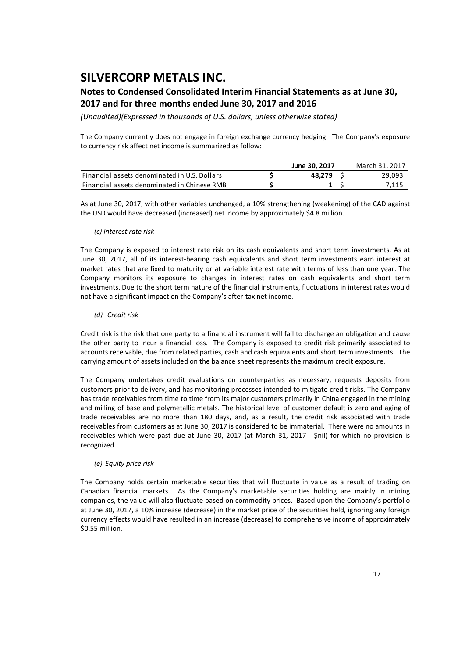### **Notes to Condensed Consolidated Interim Financial Statements as at June 30, 2017 and for three months ended June 30, 2017 and 2016**

*(Unaudited)(Expressed in thousands of U.S. dollars, unless otherwise stated)*

The Company currently does not engage in foreign exchange currency hedging. The Company's exposure to currency risk affect net income is summarized as follow:

|                                              | June 30, 2017 | March 31, 2017 |
|----------------------------------------------|---------------|----------------|
| Financial assets denominated in U.S. Dollars | 48.279 S      | 29,093         |
| Financial assets denominated in Chinese RMB  |               | 7.115          |

As at June 30, 2017, with other variables unchanged, a 10% strengthening (weakening) of the CAD against the USD would have decreased (increased) net income by approximately \$4.8 million.

#### *(c) Interest rate risk*

The Company is exposed to interest rate risk on its cash equivalents and short term investments. As at June 30, 2017, all of its interest-bearing cash equivalents and short term investments earn interest at market rates that are fixed to maturity or at variable interest rate with terms of less than one year. The Company monitors its exposure to changes in interest rates on cash equivalents and short term investments. Due to the short term nature of the financial instruments, fluctuations in interest rates would not have a significant impact on the Company's after‐tax net income.

#### *(d) Credit risk*

Credit risk is the risk that one party to a financial instrument will fail to discharge an obligation and cause the other party to incur a financial loss. The Company is exposed to credit risk primarily associated to accounts receivable, due from related parties, cash and cash equivalents and short term investments. The carrying amount of assets included on the balance sheet represents the maximum credit exposure.

The Company undertakes credit evaluations on counterparties as necessary, requests deposits from customers prior to delivery, and has monitoring processes intended to mitigate credit risks. The Company has trade receivables from time to time from its major customers primarily in China engaged in the mining and milling of base and polymetallic metals. The historical level of customer default is zero and aging of trade receivables are no more than 180 days, and, as a result, the credit risk associated with trade receivables from customers as at June 30, 2017 is considered to be immaterial. There were no amounts in receivables which were past due at June 30, 2017 (at March 31, 2017 - \$nil) for which no provision is recognized.

### *(e) Equity price risk*

The Company holds certain marketable securities that will fluctuate in value as a result of trading on Canadian financial markets. As the Company's marketable securities holding are mainly in mining companies, the value will also fluctuate based on commodity prices. Based upon the Company's portfolio at June 30, 2017, a 10% increase (decrease) in the market price of the securities held, ignoring any foreign currency effects would have resulted in an increase (decrease) to comprehensive income of approximately \$0.55 million.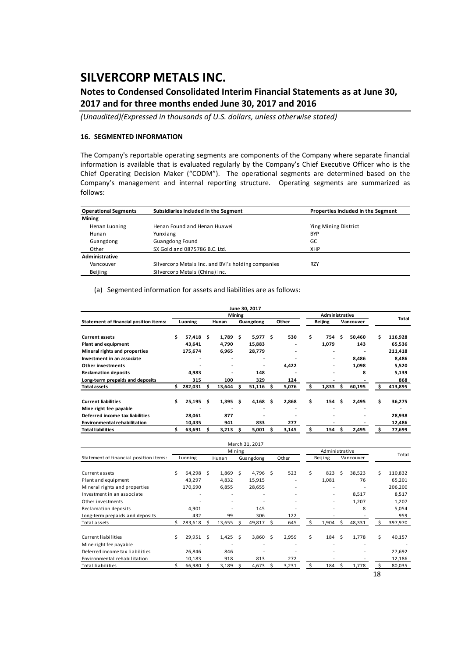### **Notes to Condensed Consolidated Interim Financial Statements as at June 30, 2017 and for three months ended June 30, 2017 and 2016**

*(Unaudited)(Expressed in thousands of U.S. dollars, unless otherwise stated)*

#### **16. SEGMENTED INFORMATION**

The Company's reportable operating segments are components of the Company where separate financial information is available that is evaluated regularly by the Company's Chief Executive Officer who is the Chief Operating Decision Maker ("CODM"). The operational segments are determined based on the Company's management and internal reporting structure. Operating segments are summarized as follows:

| <b>Operational Segments</b> | Subsidiaries Included in the Segment               | Properties Included in the Segment |  |  |  |  |  |  |
|-----------------------------|----------------------------------------------------|------------------------------------|--|--|--|--|--|--|
| <b>Mining</b>               |                                                    |                                    |  |  |  |  |  |  |
| Henan Luoning               | Henan Found and Henan Huawei                       | Ying Mining District               |  |  |  |  |  |  |
| Hunan                       | Yunxiang                                           | <b>BYP</b>                         |  |  |  |  |  |  |
| Guangdong                   | <b>Guangdong Found</b>                             | GC                                 |  |  |  |  |  |  |
| Other                       | SX Gold and 0875786 B.C. Ltd.                      | <b>XHP</b>                         |  |  |  |  |  |  |
| Administrative              |                                                    |                                    |  |  |  |  |  |  |
| Vancouver                   | Silvercorp Metals Inc. and BVI's holding companies | <b>RZY</b>                         |  |  |  |  |  |  |
| Beijing                     | Silvercorp Metals (China) Inc.                     |                                    |  |  |  |  |  |  |

#### (a) Segmented information for assets and liabilities are as follows:

|                                        |         |         |       |        |               | June 30, 2017 |   |       |                |                          |     |           |    |         |  |
|----------------------------------------|---------|---------|-------|--------|---------------|---------------|---|-------|----------------|--------------------------|-----|-----------|----|---------|--|
|                                        |         |         |       |        | <b>Mining</b> |               |   |       | Administrative |                          |     |           |    | Total   |  |
| Statement of financial position items: | Luoning |         | Hunan |        | Guangdong     |               |   | Other | <b>Beijing</b> |                          |     | Vancouver |    |         |  |
|                                        |         |         |       |        |               |               |   |       |                |                          |     |           |    |         |  |
| <b>Current assets</b>                  | Ś.      | 57,418  | s     | 1,789  | - Ś           | 5,977         | Ŝ | 530   | \$             | 754                      | \$. | 50,460    | Ś. | 116,928 |  |
| Plant and equipment                    |         | 43,641  |       | 4,790  |               | 15,883        |   |       |                | 1,079                    |     | 143       |    | 65,536  |  |
| Mineral rights and properties          |         | 175,674 |       | 6,965  |               | 28,779        |   |       |                |                          |     |           |    | 211,418 |  |
| Investment in an associate             |         |         |       |        |               |               |   |       |                | $\overline{\phantom{a}}$ |     | 8,486     |    | 8,486   |  |
| Other investments                      |         |         |       |        |               |               |   | 4.422 |                |                          |     | 1,098     |    | 5,520   |  |
| <b>Reclamation deposits</b>            |         | 4,983   |       |        |               | 148           |   |       |                |                          |     | 8         |    | 5,139   |  |
| Long-term prepaids and deposits        |         | 315     |       | 100    |               | 329           |   | 124   |                | $\overline{\phantom{a}}$ |     |           |    | 868     |  |
| <b>Total assets</b>                    | S.      | 282,031 | s     | 13,644 | s             | 51,116        | S | 5,076 | S              | 1,833                    | \$. | 60,195    | s  | 413,895 |  |
| <b>Current liabilities</b>             | Ś       | 25.195  | \$.   | 1.395  | Ŝ.            | 4,168         | Ŝ | 2.868 | \$             | 154                      | Ŝ   | 2,495     | \$ | 36,275  |  |
| Mine right fee payable                 |         |         |       |        |               |               |   |       |                |                          |     |           |    |         |  |
| Deferred income tax liabilities        |         | 28,061  |       | 877    |               |               |   |       |                |                          |     |           |    | 28,938  |  |
| <b>Environmental rehabilitation</b>    |         | 10,435  |       | 941    |               | 833           |   | 277   |                |                          |     |           |    | 12,486  |  |
| <b>Total liabilities</b>               |         | 63,691  |       | 3,213  |               | 5,001         |   | 3,145 |                | 154                      | s   | 2,495     | Ś. | 77,699  |  |

|                                        |   |              |                          |           | March 31, 2017 |       |                          |         |                |    |           |    |         |
|----------------------------------------|---|--------------|--------------------------|-----------|----------------|-------|--------------------------|---------|----------------|----|-----------|----|---------|
|                                        |   |              | Administrative<br>Mining |           |                |       |                          |         | Total          |    |           |    |         |
| Statement of financial position items: |   | Luoning      | Hunan                    | Guangdong |                | Other |                          | Beijing |                |    | Vancouver |    |         |
|                                        |   |              |                          |           |                |       |                          |         |                |    |           |    |         |
| Current assets                         | Ś | 64,298 \$    | $1,869$ \$               |           | 4,796 \$       |       | 523                      | Ŝ.      | 823            | -Ś | 38,523    | Ś. | 110,832 |
| Plant and equipment                    |   | 43,297       | 4,832                    |           | 15,915         |       |                          |         | 1,081          |    | 76        |    | 65,201  |
| Mineral rights and properties          |   | 170,690      | 6,855                    |           | 28,655         |       | $\overline{\phantom{m}}$ |         |                |    |           |    | 206,200 |
| Investment in an associate             |   |              | ٠                        |           |                |       |                          |         | $\sim$         |    | 8,517     |    | 8,517   |
| Other investments                      |   |              | ٠                        |           |                |       |                          |         | $\sim$         |    | 1,207     |    | 1,207   |
| Reclamation deposits                   |   | 4,901        | ٠                        |           | 145            |       |                          |         |                |    | 8         |    | 5,054   |
| Long-term prepaids and deposits        |   | 432          | 99                       |           | 306            |       | 122                      |         |                |    |           |    | 959     |
| Total assets                           |   | $283,618$ \$ | $13,655$ \$              |           | 49,817 \$      |       | 645                      | S       | $1,904$ \$     |    | 48,331    |    | 397,970 |
| Current liabilities                    | Ś | $29,951$ \$  | $1,425$ \$               |           | $3,860$ \$     |       | 2,959                    | Ŝ.      | $184 \quad$ \$ |    | 1,778     | Ś  | 40,157  |
| Mine right fee payable                 |   |              |                          |           |                |       |                          |         |                |    |           |    |         |
|                                        |   |              |                          |           |                |       |                          |         |                |    |           |    |         |
| Deferred income tax liabilities        |   | 26,846       | 846                      |           | ٠              |       |                          |         |                |    |           |    | 27,692  |
| Environmental rehabilitation           |   | 10,183       | 918                      |           | 813            |       | 272                      |         |                |    |           |    | 12,186  |
| Total liabilities                      |   | 66,980 \$    | 3,189                    | -S        | 4,673          | - S   | 3,231                    |         | $184 \quad$ \$ |    | 1,778     |    | 80,035  |
|                                        |   |              |                          |           |                |       |                          |         |                |    |           | 18 |         |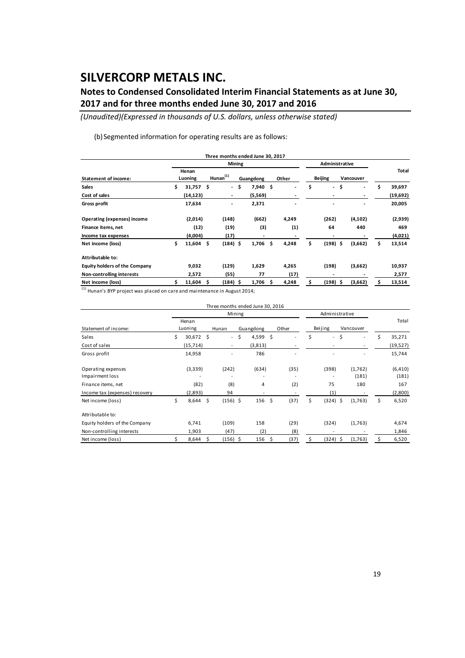### **Notes to Condensed Consolidated Interim Financial Statements as at June 30, 2017 and for three months ended June 30, 2017 and 2016**

*(Unaudited)(Expressed in thousands of U.S. dollars, unless otherwise stated)*

(b) Segmented information for operating results are as follows:

|                                      |                  |             |                |                          |               | Three months ended June 30, 2017 |       |       |                |                          |           |          |              |
|--------------------------------------|------------------|-------------|----------------|--------------------------|---------------|----------------------------------|-------|-------|----------------|--------------------------|-----------|----------|--------------|
|                                      |                  |             |                |                          | <b>Mining</b> |                                  |       |       | Administrative |                          |           |          |              |
| <b>Statement of income:</b>          | Henan<br>Luoning |             | $H$ unan $(1)$ |                          | Guangdong     |                                  | Other |       | <b>Beijing</b> |                          | Vancouver |          | Total        |
| <b>Sales</b>                         | \$               | $31,757$ \$ |                | $\overline{\phantom{a}}$ | \$            | 7,940                            | \$    |       | \$             | $\overline{\phantom{a}}$ | \$        | ٠        | \$<br>39,697 |
| Cost of sales                        |                  | (14, 123)   |                | $\overline{\phantom{a}}$ |               | (5,569)                          |       |       |                | $\overline{\phantom{a}}$ |           |          | (19,692)     |
| <b>Gross profit</b>                  |                  | 17,634      |                | -                        |               | 2,371                            |       |       |                |                          |           |          | 20,005       |
| Operating (expenses) income          |                  | (2,014)     |                | (148)                    |               | (662)                            |       | 4,249 |                | (262)                    |           | (4, 102) | (2,939)      |
| Finance items, net                   |                  | (12)        |                | (19)                     |               | (3)                              |       | (1)   |                | 64                       |           | 440      | 469          |
| Income tax expenses                  |                  | (4,004)     |                | (17)                     |               | $\overline{\phantom{a}}$         |       |       |                | $\overline{\phantom{a}}$ |           |          | (4,021)      |
| Net income (loss)                    | \$               | $11,604$ \$ |                | $(184)$ \$               |               | 1,706                            | Ś     | 4,248 | \$             | $(198)$ \$               |           | (3,662)  | \$<br>13,514 |
| Attributable to:                     |                  |             |                |                          |               |                                  |       |       |                |                          |           |          |              |
| <b>Equity holders of the Company</b> |                  | 9,032       |                | (129)                    |               | 1,629                            |       | 4,265 |                | (198)                    |           | (3,662)  | 10,937       |
| Non-controlling interests            |                  | 2,572       |                | (55)                     |               | 77                               |       | (17)  |                | $\overline{\phantom{a}}$ |           |          | 2,577        |
| Net income (loss)                    |                  | $11,604$ \$ |                | (184) \$                 |               | 1,706                            | s     | 4,248 |                | (198)                    | - \$      | (3,662)  | 13,514       |

(1) Hunan's BYP project was placed on care and maintenance in August 2014;

|                                       |                  |            |                     |                          |           | Three months ended June 30, 2016 |       |      |                |                     |           |                          |    |                   |
|---------------------------------------|------------------|------------|---------------------|--------------------------|-----------|----------------------------------|-------|------|----------------|---------------------|-----------|--------------------------|----|-------------------|
|                                       |                  |            |                     | Mining                   |           |                                  |       |      | Administrative |                     |           |                          |    |                   |
| Statement of income:                  | Henan<br>Luoning |            | Hunan               |                          | Guangdong |                                  | Other |      | Beijing        |                     | Vancouver |                          |    | Total             |
| Sales                                 | \$               | 30,672 \$  |                     | $\sim$                   | \$        | 4,599                            | -\$   |      | \$             | $\mathcal{L}^{\pm}$ | \$        | $\overline{\phantom{a}}$ | \$ | 35,271            |
| Cost of sales                         |                  | (15, 714)  |                     | $\overline{\phantom{a}}$ |           | (3, 813)                         |       |      |                |                     |           |                          |    | (19,527)          |
| Gross profit                          |                  | 14,958     |                     |                          |           | 786                              |       |      |                |                     |           |                          |    | 15,744            |
| Operating expenses<br>Impairment loss |                  | (3,339)    |                     | (242)                    |           | (634)                            |       | (35) |                | (398)               |           | (1,762)<br>(181)         |    | (6, 410)<br>(181) |
| Finance items, net                    |                  | (82)       |                     | (8)                      |           | 4                                |       | (2)  |                | 75                  |           | 180                      |    | 167               |
| Income tax (expenses) recovery        |                  | (2,893)    |                     | 94                       |           |                                  |       |      |                | (1)                 |           |                          |    | (2,800)           |
| Net income (loss)                     | \$               | 8,644      | $\ddot{\mathsf{s}}$ | $(156)$ \$               |           | 156                              | \$    | (37) | \$             | $(324)$ \$          |           | (1,763)                  | \$ | 6,520             |
| Attributable to:                      |                  |            |                     |                          |           |                                  |       |      |                |                     |           |                          |    |                   |
| Equity holders of the Company         |                  | 6,741      |                     | (109)                    |           | 158                              |       | (29) |                | (324)               |           | (1,763)                  |    | 4,674             |
| Non-controlling interests             |                  | 1,903      |                     | (47)                     |           | (2)                              |       | (8)  |                |                     |           |                          |    | 1,846             |
| Net income (loss)                     |                  | $8,644$ \$ |                     | $(156)$ \$               |           | 156                              | Ŝ     | (37) | Ś              | (324) \$            |           | (1,763)                  | s  | 6,520             |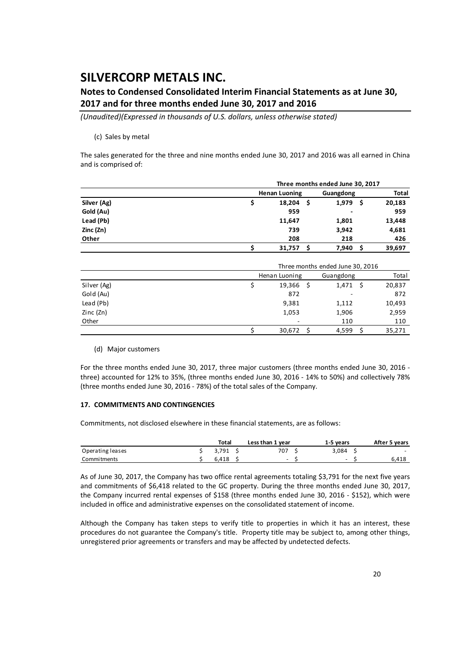### **Notes to Condensed Consolidated Interim Financial Statements as at June 30, 2017 and for three months ended June 30, 2017 and 2016**

*(Unaudited)(Expressed in thousands of U.S. dollars, unless otherwise stated)*

#### (c) Sales by metal

The sales generated for the three and nine months ended June 30, 2017 and 2016 was all earned in China and is comprised of:

|             |                      | Three months ended June 30, 2017 |    |              |
|-------------|----------------------|----------------------------------|----|--------------|
|             | <b>Henan Luoning</b> | Guangdong                        |    | <b>Total</b> |
| Silver (Ag) | 18,204<br>-S         | 1,979                            | .s | 20,183       |
| Gold (Au)   | 959                  | ٠                                |    | 959          |
| Lead (Pb)   | 11,647               | 1,801                            |    | 13,448       |
| Zinc (Zn)   | 739                  | 3,942                            |    | 4,681        |
| Other       | 208                  | 218                              |    | 426          |
|             | 31,757               | 7,940                            | S  | 39,697       |

|             | Three months ended June 30, 2016 |  |           |        |  |  |  |  |  |
|-------------|----------------------------------|--|-----------|--------|--|--|--|--|--|
|             | Henan Luoning                    |  | Guangdong | Total  |  |  |  |  |  |
| Silver (Ag) | 19,366                           |  | 1,471     | 20,837 |  |  |  |  |  |
| Gold (Au)   | 872                              |  | ٠         | 872    |  |  |  |  |  |
| Lead (Pb)   | 9,381                            |  | 1,112     | 10,493 |  |  |  |  |  |
| Zinc(Zn)    | 1,053                            |  | 1,906     | 2,959  |  |  |  |  |  |
| Other       | ٠                                |  | 110       | 110    |  |  |  |  |  |
|             | 30,672                           |  | 4,599     | 35,271 |  |  |  |  |  |

#### (d) Major customers

For the three months ended June 30, 2017, three major customers (three months ended June 30, 2016 ‐ three) accounted for 12% to 35%, (three months ended June 30, 2016 ‐ 14% to 50%) and collectively 78% (three months ended June 30, 2016 ‐ 78%) of the total sales of the Company.

#### **17. COMMITMENTS AND CONTINGENCIES**

Commitments, not disclosed elsewhere in these financial statements, are as follows:

|                  | Total | Less than 1 year | 1-5 vears                | After 5 years            |
|------------------|-------|------------------|--------------------------|--------------------------|
| Operating leases | 3.791 | 707              | 3.084                    | $\overline{\phantom{0}}$ |
| Commitments      | 6.418 | $\sim$           | $\overline{\phantom{0}}$ | 6.418                    |

As of June 30, 2017, the Company has two office rental agreements totaling \$3,791 for the next five years and commitments of \$6,418 related to the GC property. During the three months ended June 30, 2017, the Company incurred rental expenses of \$158 (three months ended June 30, 2016 - \$152), which were included in office and administrative expenses on the consolidated statement of income.

Although the Company has taken steps to verify title to properties in which it has an interest, these procedures do not guarantee the Company's title. Property title may be subject to, among other things, unregistered prior agreements or transfers and may be affected by undetected defects.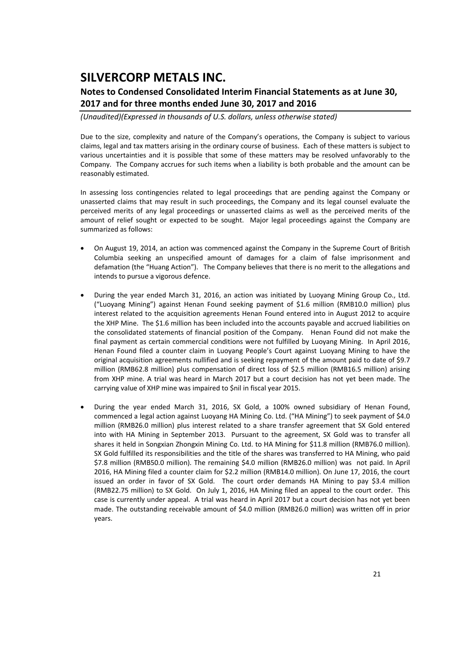### **Notes to Condensed Consolidated Interim Financial Statements as at June 30, 2017 and for three months ended June 30, 2017 and 2016**

*(Unaudited)(Expressed in thousands of U.S. dollars, unless otherwise stated)*

Due to the size, complexity and nature of the Company's operations, the Company is subject to various claims, legal and tax matters arising in the ordinary course of business. Each of these matters is subject to various uncertainties and it is possible that some of these matters may be resolved unfavorably to the Company. The Company accrues for such items when a liability is both probable and the amount can be reasonably estimated.

In assessing loss contingencies related to legal proceedings that are pending against the Company or unasserted claims that may result in such proceedings, the Company and its legal counsel evaluate the perceived merits of any legal proceedings or unasserted claims as well as the perceived merits of the amount of relief sought or expected to be sought. Major legal proceedings against the Company are summarized as follows:

- On August 19, 2014, an action was commenced against the Company in the Supreme Court of British Columbia seeking an unspecified amount of damages for a claim of false imprisonment and defamation (the "Huang Action"). The Company believes that there is no merit to the allegations and intends to pursue a vigorous defence.
- During the year ended March 31, 2016, an action was initiated by Luoyang Mining Group Co., Ltd. ("Luoyang Mining") against Henan Found seeking payment of \$1.6 million (RMB10.0 million) plus interest related to the acquisition agreements Henan Found entered into in August 2012 to acquire the XHP Mine. The \$1.6 million has been included into the accounts payable and accrued liabilities on the consolidated statements of financial position of the Company. Henan Found did not make the final payment as certain commercial conditions were not fulfilled by Luoyang Mining. In April 2016, Henan Found filed a counter claim in Luoyang People's Court against Luoyang Mining to have the original acquisition agreements nullified and is seeking repayment of the amount paid to date of \$9.7 million (RMB62.8 million) plus compensation of direct loss of \$2.5 million (RMB16.5 million) arising from XHP mine. A trial was heard in March 2017 but a court decision has not yet been made. The carrying value of XHP mine was impaired to \$nil in fiscal year 2015.
- During the year ended March 31, 2016, SX Gold, a 100% owned subsidiary of Henan Found, commenced a legal action against Luoyang HA Mining Co. Ltd. ("HA Mining") to seek payment of \$4.0 million (RMB26.0 million) plus interest related to a share transfer agreement that SX Gold entered into with HA Mining in September 2013. Pursuant to the agreement, SX Gold was to transfer all shares it held in Songxian Zhongxin Mining Co. Ltd. to HA Mining for \$11.8 million (RMB76.0 million). SX Gold fulfilled its responsibilities and the title of the shares was transferred to HA Mining, who paid \$7.8 million (RMB50.0 million). The remaining \$4.0 million (RMB26.0 million) was not paid. In April 2016, HA Mining filed a counter claim for \$2.2 million (RMB14.0 million). On June 17, 2016, the court issued an order in favor of SX Gold. The court order demands HA Mining to pay \$3.4 million (RMB22.75 million) to SX Gold. On July 1, 2016, HA Mining filed an appeal to the court order. This case is currently under appeal. A trial was heard in April 2017 but a court decision has not yet been made. The outstanding receivable amount of \$4.0 million (RMB26.0 million) was written off in prior years.